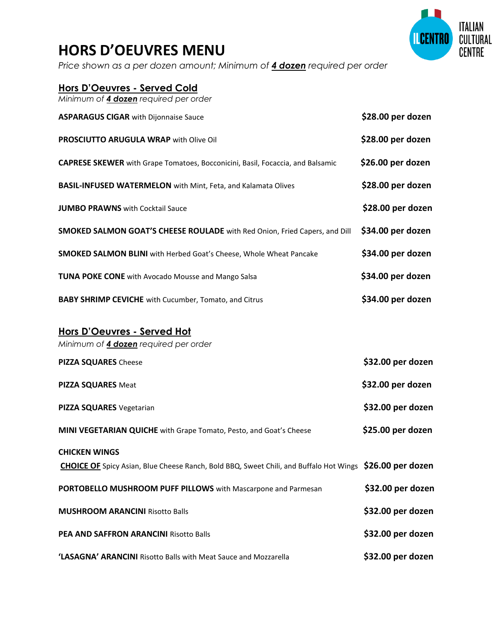## **HORS D'OEUVRES MENU**

*Price shown as a per dozen amount; Minimum of 4 dozen required per order*

| Hors D'Oeuvres - Served Cold                                                          |                   |
|---------------------------------------------------------------------------------------|-------------------|
| Minimum of 4 dozen required per order                                                 |                   |
| <b>ASPARAGUS CIGAR with Dijonnaise Sauce</b>                                          | \$28.00 per dozen |
| <b>PROSCIUTTO ARUGULA WRAP with Olive Oil</b>                                         | \$28.00 per dozen |
| <b>CAPRESE SKEWER</b> with Grape Tomatoes, Bocconicini, Basil, Focaccia, and Balsamic | \$26.00 per dozen |
| <b>BASIL-INFUSED WATERMELON</b> with Mint, Feta, and Kalamata Olives                  | \$28.00 per dozen |
| <b>JUMBO PRAWNS</b> with Cocktail Sauce                                               | \$28.00 per dozen |
| SMOKED SALMON GOAT'S CHEESE ROULADE with Red Onion, Fried Capers, and Dill            | \$34.00 per dozen |
| <b>SMOKED SALMON BLINI</b> with Herbed Goat's Cheese, Whole Wheat Pancake             | \$34.00 per dozen |
| <b>TUNA POKE CONE</b> with Avocado Mousse and Mango Salsa                             | \$34.00 per dozen |
| <b>BABY SHRIMP CEVICHE</b> with Cucumber, Tomato, and Citrus                          | \$34.00 per dozen |
|                                                                                       |                   |

## **Hors D'Oeuvres - Served Hot**

*Minimum of 4 dozen required per order* **PIZZA SQUARES** Cheese **\$32.00 per dozen PIZZA SQUARES** Meat **\$32.00 per dozen PIZZA SQUARES** Vegetarian **by Contract Contract Contract Contract Contract Contract Contract Contract Contract Contract Contract Contract Contract Contract Contract Contract Contract Contract Contract Contract Contract Co MINI VEGETARIAN QUICHE** with Grape Tomato, Pesto, and Goat's Cheese \$25.00 per dozen **CHICKEN WINGS CHOICE OF** Spicy Asian, Blue Cheese Ranch, Bold BBQ, Sweet Chili, and Buffalo Hot Wings **\$26.00 per dozen PORTOBELLO MUSHROOM PUFF PILLOWS** with Mascarpone and Parmesan **\$32.00 per dozen MUSHROOM ARANCINI** Risotto Balls **\$32.00 per dozen PEA AND SAFFRON ARANCINI** Risotto Balls **\$32.00 per dozen 'LASAGNA' ARANCINI** Risotto Balls with Meat Sauce and Mozzarella **\$32.00 per dozen**